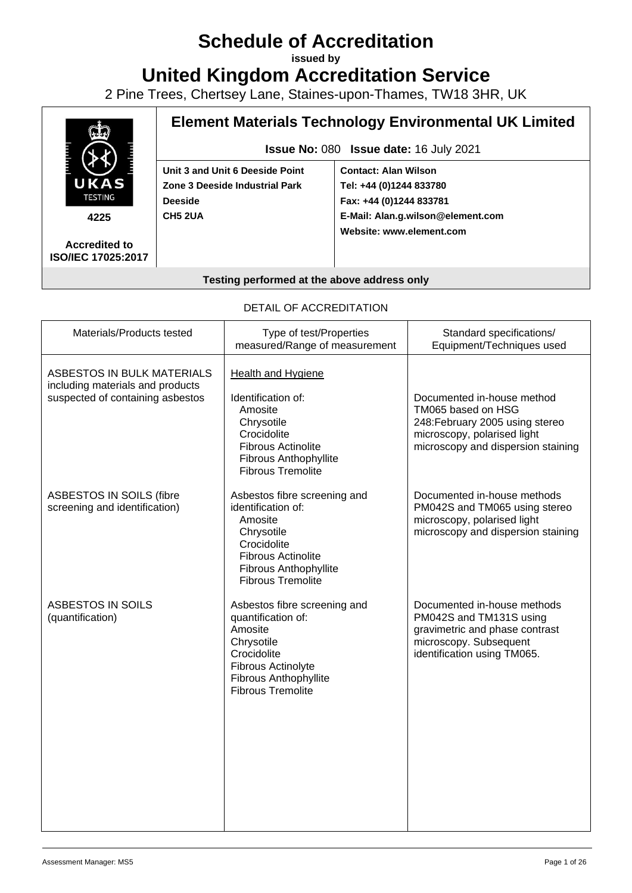# **Schedule of Accreditation**

**issued by**

**United Kingdom Accreditation Service**

2 Pine Trees, Chertsey Lane, Staines-upon-Thames, TW18 3HR, UK



#### **Testing performed at the above address only**

#### DETAIL OF ACCREDITATION

| Materials/Products tested                                                                          | Type of test/Properties<br>measured/Range of measurement                                                                                                                            | Standard specifications/<br>Equipment/Techniques used                                                                                                    |
|----------------------------------------------------------------------------------------------------|-------------------------------------------------------------------------------------------------------------------------------------------------------------------------------------|----------------------------------------------------------------------------------------------------------------------------------------------------------|
| ASBESTOS IN BULK MATERIALS<br>including materials and products<br>suspected of containing asbestos | <b>Health and Hygiene</b><br>Identification of:<br>Amosite<br>Chrysotile<br>Crocidolite<br><b>Fibrous Actinolite</b><br><b>Fibrous Anthophyllite</b><br><b>Fibrous Tremolite</b>    | Documented in-house method<br>TM065 based on HSG<br>248: February 2005 using stereo<br>microscopy, polarised light<br>microscopy and dispersion staining |
| ASBESTOS IN SOILS (fibre<br>screening and identification)                                          | Asbestos fibre screening and<br>identification of:<br>Amosite<br>Chrysotile<br>Crocidolite<br><b>Fibrous Actinolite</b><br><b>Fibrous Anthophyllite</b><br><b>Fibrous Tremolite</b> | Documented in-house methods<br>PM042S and TM065 using stereo<br>microscopy, polarised light<br>microscopy and dispersion staining                        |
| ASBESTOS IN SOILS<br>(quantification)                                                              | Asbestos fibre screening and<br>quantification of:<br>Amosite<br>Chrysotile<br>Crocidolite<br><b>Fibrous Actinolyte</b><br><b>Fibrous Anthophyllite</b><br><b>Fibrous Tremolite</b> | Documented in-house methods<br>PM042S and TM131S using<br>gravimetric and phase contrast<br>microscopy. Subsequent<br>identification using TM065.        |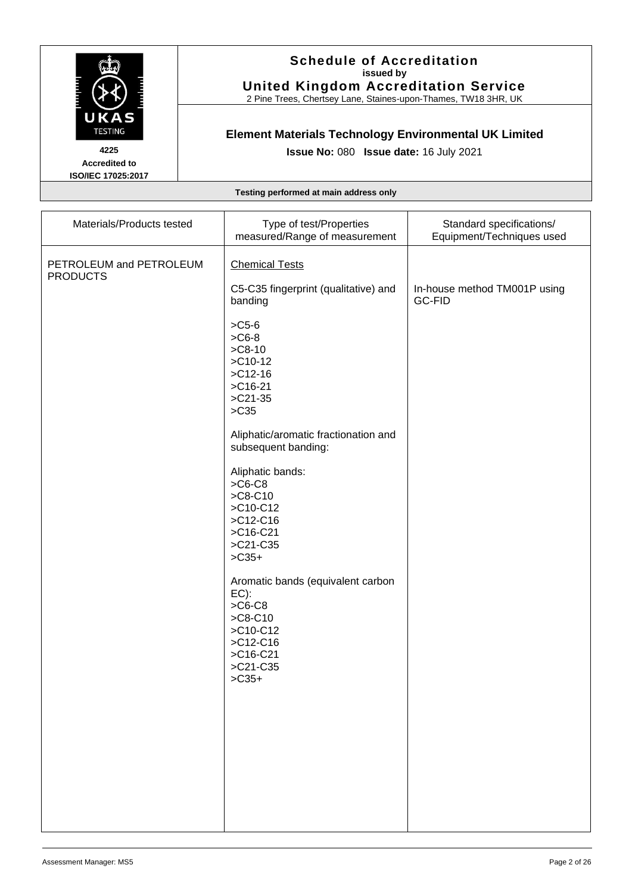

2 Pine Trees, Chertsey Lane, Staines-upon-Thames, TW18 3HR, UK

# **Element Materials Technology Environmental UK Limited**

**Issue No:** 080 **Issue date:** 16 July 2021

**Accredited to ISO/IEC 17025:2017**

| PETROLEUM and PETROLEUM                                                                                                                                                                                                                                                                                                                                                                                                                                                                                                         | Materials/Products tested | Type of test/Properties       | Standard specifications/  |
|---------------------------------------------------------------------------------------------------------------------------------------------------------------------------------------------------------------------------------------------------------------------------------------------------------------------------------------------------------------------------------------------------------------------------------------------------------------------------------------------------------------------------------|---------------------------|-------------------------------|---------------------------|
| <b>Chemical Tests</b>                                                                                                                                                                                                                                                                                                                                                                                                                                                                                                           |                           | measured/Range of measurement | Equipment/Techniques used |
| C5-C35 fingerprint (qualitative) and<br>In-house method TM001P using<br>GC-FID<br>banding<br>$>$ C <sub>5</sub> -6<br>$>$ C6-8<br>$>$ C8-10<br>$>$ C10-12<br>$>$ C12-16<br>$>$ C16-21<br>$>$ C21-35<br>$>C35$<br>Aliphatic/aromatic fractionation and<br>subsequent banding:<br>Aliphatic bands:<br>$>$ C6-C8<br>$>C8-C10$<br>>C10-C12<br>$>C12-C16$<br>>C16-C21<br>>C21-C35<br>$>$ C35+<br>Aromatic bands (equivalent carbon<br>$EC$ ):<br>$>$ C6-C8<br>$>C8-C10$<br>>C10-C12<br>$>C12-C16$<br>>C16-C21<br>>C21-C35<br>$>C35+$ | <b>PRODUCTS</b>           |                               |                           |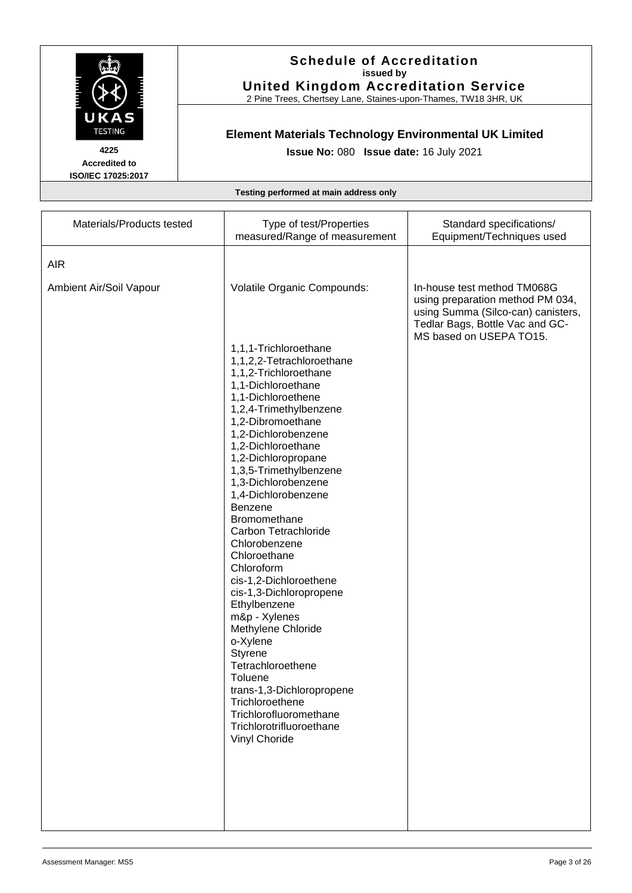

2 Pine Trees, Chertsey Lane, Staines-upon-Thames, TW18 3HR, UK

# **Element Materials Technology Environmental UK Limited**

**Issue No:** 080 **Issue date:** 16 July 2021

**Accredited to ISO/IEC 17025:2017**

| Materials/Products tested | Type of test/Properties<br>measured/Range of measurement                 | Standard specifications/<br>Equipment/Techniques used                                                                                                               |
|---------------------------|--------------------------------------------------------------------------|---------------------------------------------------------------------------------------------------------------------------------------------------------------------|
| <b>AIR</b>                |                                                                          |                                                                                                                                                                     |
| Ambient Air/Soil Vapour   | Volatile Organic Compounds:<br>1,1,1-Trichloroethane                     | In-house test method TM068G<br>using preparation method PM 034,<br>using Summa (Silco-can) canisters,<br>Tedlar Bags, Bottle Vac and GC-<br>MS based on USEPA TO15. |
|                           | 1,1,2,2-Tetrachloroethane<br>1,1,2-Trichloroethane<br>1,1-Dichloroethane |                                                                                                                                                                     |
|                           | 1,1-Dichloroethene<br>1,2,4-Trimethylbenzene                             |                                                                                                                                                                     |
|                           | 1,2-Dibromoethane<br>1,2-Dichlorobenzene                                 |                                                                                                                                                                     |
|                           | 1,2-Dichloroethane<br>1,2-Dichloropropane                                |                                                                                                                                                                     |
|                           | 1,3,5-Trimethylbenzene<br>1,3-Dichlorobenzene                            |                                                                                                                                                                     |
|                           | 1,4-Dichlorobenzene<br>Benzene<br><b>Bromomethane</b>                    |                                                                                                                                                                     |
|                           | Carbon Tetrachloride<br>Chlorobenzene                                    |                                                                                                                                                                     |
|                           | Chloroethane<br>Chloroform                                               |                                                                                                                                                                     |
|                           | cis-1,2-Dichloroethene<br>cis-1,3-Dichloropropene                        |                                                                                                                                                                     |
|                           | Ethylbenzene<br>m&p - Xylenes                                            |                                                                                                                                                                     |
|                           | Methylene Chloride<br>o-Xylene                                           |                                                                                                                                                                     |
|                           | Styrene<br>Tetrachloroethene<br>Toluene                                  |                                                                                                                                                                     |
|                           | trans-1,3-Dichloropropene<br>Trichloroethene                             |                                                                                                                                                                     |
|                           | Trichlorofluoromethane<br>Trichlorotrifluoroethane<br>Vinyl Choride      |                                                                                                                                                                     |
|                           |                                                                          |                                                                                                                                                                     |
|                           |                                                                          |                                                                                                                                                                     |
|                           |                                                                          |                                                                                                                                                                     |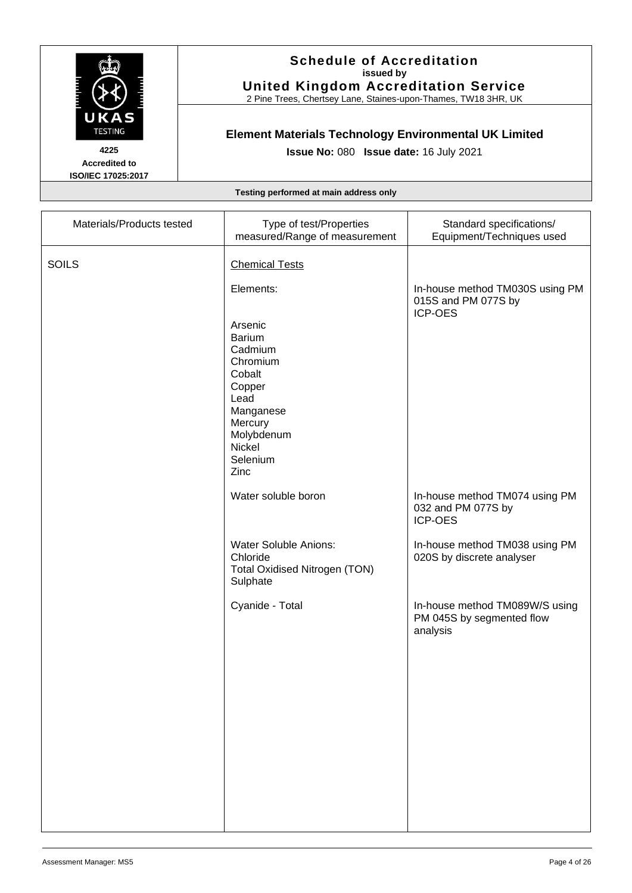

2 Pine Trees, Chertsey Lane, Staines-upon-Thames, TW18 3HR, UK

# **Element Materials Technology Environmental UK Limited**

**Issue No:** 080 **Issue date:** 16 July 2021

**Accredited to ISO/IEC 17025:2017**

|  | Testing performed at main address only |  |  |  |
|--|----------------------------------------|--|--|--|
|--|----------------------------------------|--|--|--|

| Materials/Products tested | Type of test/Properties<br>measured/Range of measurement                                                                                        | Standard specifications/<br>Equipment/Techniques used                   |
|---------------------------|-------------------------------------------------------------------------------------------------------------------------------------------------|-------------------------------------------------------------------------|
| <b>SOILS</b>              | <b>Chemical Tests</b>                                                                                                                           |                                                                         |
|                           | Elements:                                                                                                                                       | In-house method TM030S using PM<br>015S and PM 077S by<br>ICP-OES       |
|                           | Arsenic<br><b>Barium</b><br>Cadmium<br>Chromium<br>Cobalt<br>Copper<br>Lead<br>Manganese<br>Mercury<br>Molybdenum<br>Nickel<br>Selenium<br>Zinc |                                                                         |
|                           | Water soluble boron                                                                                                                             | In-house method TM074 using PM<br>032 and PM 077S by<br><b>ICP-OES</b>  |
|                           | <b>Water Soluble Anions:</b><br>Chloride<br><b>Total Oxidised Nitrogen (TON)</b><br>Sulphate                                                    | In-house method TM038 using PM<br>020S by discrete analyser             |
|                           | Cyanide - Total                                                                                                                                 | In-house method TM089W/S using<br>PM 045S by segmented flow<br>analysis |
|                           |                                                                                                                                                 |                                                                         |
|                           |                                                                                                                                                 |                                                                         |
|                           |                                                                                                                                                 |                                                                         |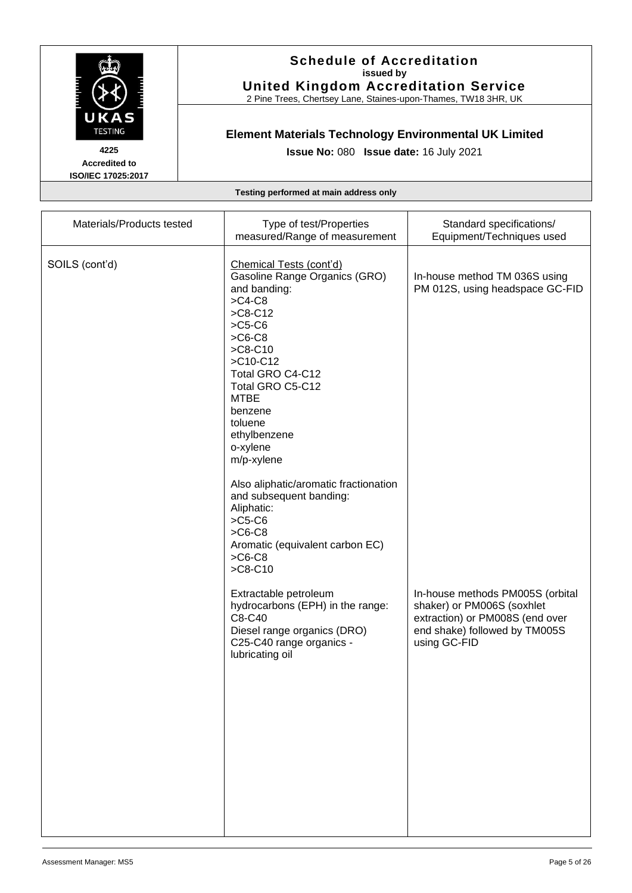

2 Pine Trees, Chertsey Lane, Staines-upon-Thames, TW18 3HR, UK

# **Element Materials Technology Environmental UK Limited**

**Issue No:** 080 **Issue date:** 16 July 2021

**Accredited to ISO/IEC 17025:2017**

| Materials/Products tested | Type of test/Properties<br>measured/Range of measurement                                                                                                                                                                                                                                                                                                                                                                                                                                                                                                                              | Standard specifications/<br>Equipment/Techniques used                                                                                                                                                                  |
|---------------------------|---------------------------------------------------------------------------------------------------------------------------------------------------------------------------------------------------------------------------------------------------------------------------------------------------------------------------------------------------------------------------------------------------------------------------------------------------------------------------------------------------------------------------------------------------------------------------------------|------------------------------------------------------------------------------------------------------------------------------------------------------------------------------------------------------------------------|
| SOILS (cont'd)            | Chemical Tests (cont'd)<br>Gasoline Range Organics (GRO)<br>and banding:<br>$>$ C4-C8<br>$>C8-C12$<br>$>C5-C6$<br>$>$ C6-C8<br>$>C8-C10$<br>>C10-C12<br>Total GRO C4-C12<br>Total GRO C5-C12<br><b>MTBE</b><br>benzene<br>toluene<br>ethylbenzene<br>o-xylene<br>m/p-xylene<br>Also aliphatic/aromatic fractionation<br>and subsequent banding:<br>Aliphatic:<br>$>C5-C6$<br>$>$ C6-C8<br>Aromatic (equivalent carbon EC)<br>$>$ C6-C8<br>$>C8-C10$<br>Extractable petroleum<br>hydrocarbons (EPH) in the range:<br>C8-C40<br>Diesel range organics (DRO)<br>C25-C40 range organics - | In-house method TM 036S using<br>PM 012S, using headspace GC-FID<br>In-house methods PM005S (orbital<br>shaker) or PM006S (soxhlet<br>extraction) or PM008S (end over<br>end shake) followed by TM005S<br>using GC-FID |
|                           | lubricating oil                                                                                                                                                                                                                                                                                                                                                                                                                                                                                                                                                                       |                                                                                                                                                                                                                        |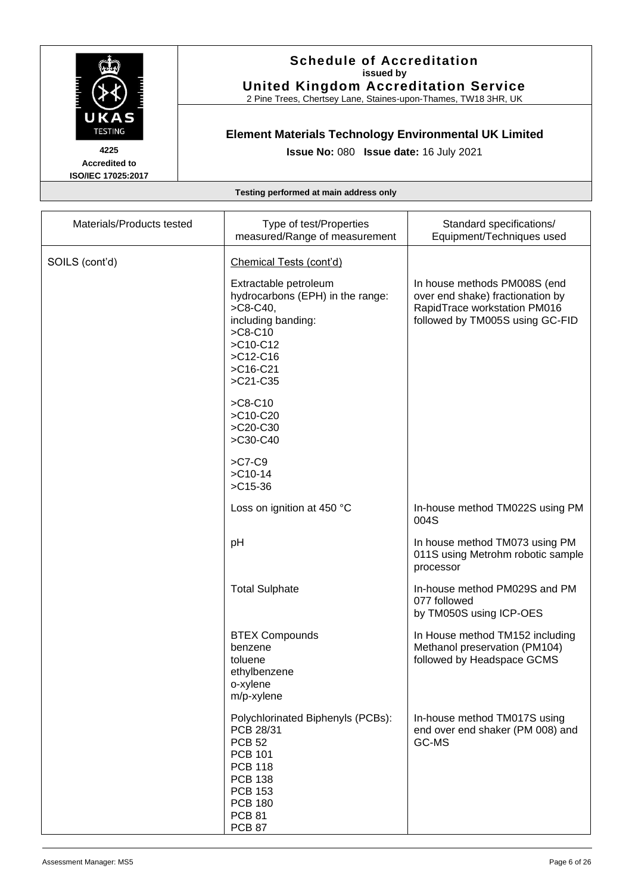

2 Pine Trees, Chertsey Lane, Staines-upon-Thames, TW18 3HR, UK

# **Element Materials Technology Environmental UK Limited**

**Issue No:** 080 **Issue date:** 16 July 2021

**Accredited to ISO/IEC 17025:2017**

| Materials/Products tested | Type of test/Properties<br>measured/Range of measurement                                                                                                                                    | Standard specifications/<br>Equipment/Techniques used                                                                               |
|---------------------------|---------------------------------------------------------------------------------------------------------------------------------------------------------------------------------------------|-------------------------------------------------------------------------------------------------------------------------------------|
| SOILS (cont'd)            | Chemical Tests (cont'd)                                                                                                                                                                     |                                                                                                                                     |
|                           | Extractable petroleum<br>hydrocarbons (EPH) in the range:<br>$>$ C8-C40,<br>including banding:<br>$>C8-C10$<br>>C10-C12<br>$>C12-C16$<br>$>$ C16-C21<br>>C21-C35                            | In house methods PM008S (end<br>over end shake) fractionation by<br>RapidTrace workstation PM016<br>followed by TM005S using GC-FID |
|                           | $>C8-C10$<br>>C10-C20<br>>C20-C30<br>>C30-C40                                                                                                                                               |                                                                                                                                     |
|                           | $>$ C7-C9<br>$>$ C10-14<br>$>$ C15-36                                                                                                                                                       |                                                                                                                                     |
|                           | Loss on ignition at 450 °C                                                                                                                                                                  | In-house method TM022S using PM<br>004S                                                                                             |
|                           | pH                                                                                                                                                                                          | In house method TM073 using PM<br>011S using Metrohm robotic sample<br>processor                                                    |
|                           | <b>Total Sulphate</b>                                                                                                                                                                       | In-house method PM029S and PM<br>077 followed<br>by TM050S using ICP-OES                                                            |
|                           | <b>BTEX Compounds</b><br>benzene<br>toluene<br>ethylbenzene<br>o-xylene<br>m/p-xylene                                                                                                       | In House method TM152 including<br>Methanol preservation (PM104)<br>followed by Headspace GCMS                                      |
|                           | Polychlorinated Biphenyls (PCBs):<br>PCB 28/31<br><b>PCB 52</b><br><b>PCB 101</b><br><b>PCB 118</b><br><b>PCB 138</b><br><b>PCB 153</b><br><b>PCB 180</b><br><b>PCB 81</b><br><b>PCB 87</b> | In-house method TM017S using<br>end over end shaker (PM 008) and<br>GC-MS                                                           |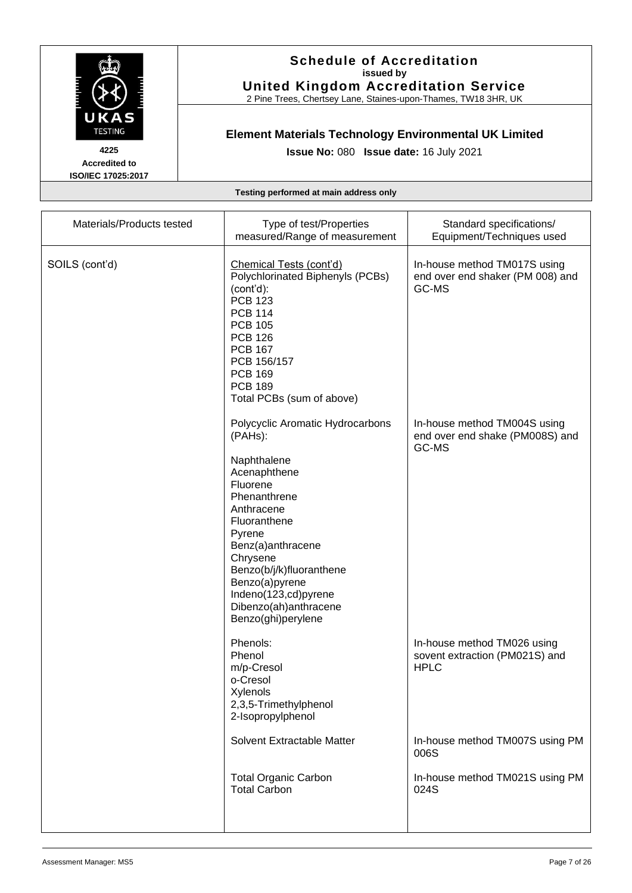

2 Pine Trees, Chertsey Lane, Staines-upon-Thames, TW18 3HR, UK

# **Element Materials Technology Environmental UK Limited**

**Issue No:** 080 **Issue date:** 16 July 2021

**Accredited to ISO/IEC 17025:2017**

| Materials/Products tested | Type of test/Properties<br>measured/Range of measurement                                                                                                                                                                                                                                             | Standard specifications/<br>Equipment/Techniques used                        |
|---------------------------|------------------------------------------------------------------------------------------------------------------------------------------------------------------------------------------------------------------------------------------------------------------------------------------------------|------------------------------------------------------------------------------|
| SOILS (cont'd)            | Chemical Tests (cont'd)<br>Polychlorinated Biphenyls (PCBs)<br>(cont'd):<br><b>PCB 123</b><br><b>PCB 114</b><br><b>PCB 105</b><br><b>PCB 126</b><br><b>PCB 167</b><br>PCB 156/157<br><b>PCB 169</b><br><b>PCB 189</b><br>Total PCBs (sum of above)                                                   | In-house method TM017S using<br>end over end shaker (PM 008) and<br>GC-MS    |
|                           | Polycyclic Aromatic Hydrocarbons<br>(PAHs):<br>Naphthalene<br>Acenaphthene<br>Fluorene<br>Phenanthrene<br>Anthracene<br>Fluoranthene<br>Pyrene<br>Benz(a)anthracene<br>Chrysene<br>Benzo(b/j/k)fluoranthene<br>Benzo(a)pyrene<br>Indeno(123,cd)pyrene<br>Dibenzo(ah)anthracene<br>Benzo(ghi)perylene | In-house method TM004S using<br>end over end shake (PM008S) and<br>GC-MS     |
|                           | Phenols:<br>Phenol<br>m/p-Cresol<br>o-Cresol<br>Xylenols<br>2,3,5-Trimethylphenol<br>2-Isopropylphenol                                                                                                                                                                                               | In-house method TM026 using<br>sovent extraction (PM021S) and<br><b>HPLC</b> |
|                           | Solvent Extractable Matter                                                                                                                                                                                                                                                                           | In-house method TM007S using PM<br>006S                                      |
|                           | <b>Total Organic Carbon</b><br><b>Total Carbon</b>                                                                                                                                                                                                                                                   | In-house method TM021S using PM<br>024S                                      |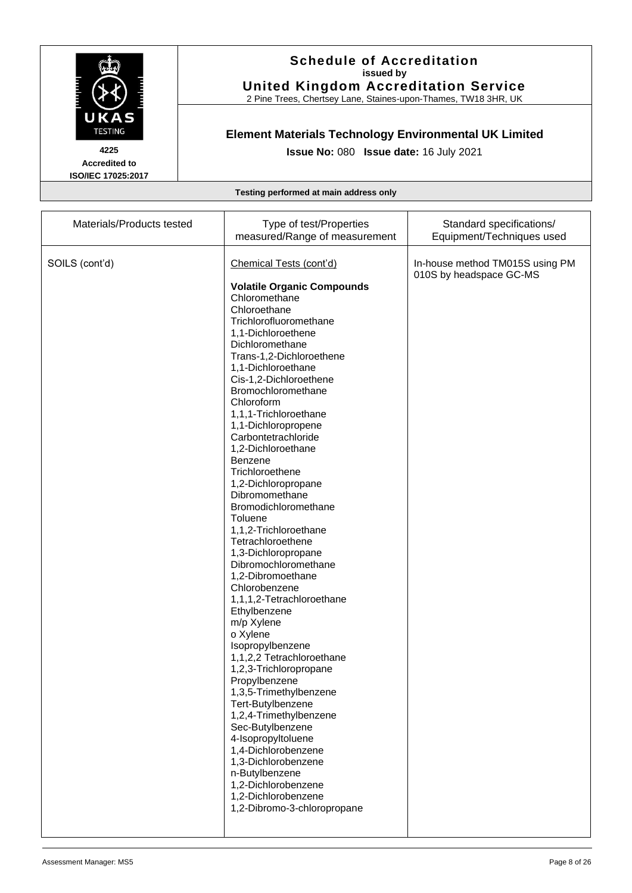

2 Pine Trees, Chertsey Lane, Staines-upon-Thames, TW18 3HR, UK

# **Element Materials Technology Environmental UK Limited**

**Issue No:** 080 **Issue date:** 16 July 2021

**Accredited to ISO/IEC 17025:2017**

| SOILS (cont'd)<br>Chemical Tests (cont'd)<br>In-house method TM015S using PM<br>010S by headspace GC-MS<br><b>Volatile Organic Compounds</b><br>Chloromethane<br>Chloroethane<br>Trichlorofluoromethane<br>1,1-Dichloroethene<br>Dichloromethane<br>Trans-1,2-Dichloroethene<br>1,1-Dichloroethane<br>Cis-1,2-Dichloroethene<br>Bromochloromethane<br>Chloroform<br>1,1,1-Trichloroethane<br>1,1-Dichloropropene<br>Carbontetrachloride<br>1,2-Dichloroethane<br><b>Benzene</b><br>Trichloroethene<br>1,2-Dichloropropane<br>Dibromomethane<br>Bromodichloromethane<br>Toluene<br>1,1,2-Trichloroethane<br>Tetrachloroethene<br>1,3-Dichloropropane<br>Dibromochloromethane<br>1,2-Dibromoethane<br>Chlorobenzene<br>1,1,1,2-Tetrachloroethane<br>Ethylbenzene<br>m/p Xylene<br>o Xylene<br>Isopropylbenzene<br>1,1,2,2 Tetrachloroethane<br>1,2,3-Trichloropropane<br>Propylbenzene<br>1,3,5-Trimethylbenzene<br>Tert-Butylbenzene | Materials/Products tested<br>Type of test/Properties<br>Standard specifications/<br>measured/Range of measurement<br>Equipment/Techniques used |  |
|-------------------------------------------------------------------------------------------------------------------------------------------------------------------------------------------------------------------------------------------------------------------------------------------------------------------------------------------------------------------------------------------------------------------------------------------------------------------------------------------------------------------------------------------------------------------------------------------------------------------------------------------------------------------------------------------------------------------------------------------------------------------------------------------------------------------------------------------------------------------------------------------------------------------------------------|------------------------------------------------------------------------------------------------------------------------------------------------|--|
| 1,2,4-Trimethylbenzene<br>Sec-Butylbenzene<br>4-Isopropyltoluene<br>1,4-Dichlorobenzene<br>1,3-Dichlorobenzene                                                                                                                                                                                                                                                                                                                                                                                                                                                                                                                                                                                                                                                                                                                                                                                                                      |                                                                                                                                                |  |
|                                                                                                                                                                                                                                                                                                                                                                                                                                                                                                                                                                                                                                                                                                                                                                                                                                                                                                                                     |                                                                                                                                                |  |
|                                                                                                                                                                                                                                                                                                                                                                                                                                                                                                                                                                                                                                                                                                                                                                                                                                                                                                                                     |                                                                                                                                                |  |
|                                                                                                                                                                                                                                                                                                                                                                                                                                                                                                                                                                                                                                                                                                                                                                                                                                                                                                                                     |                                                                                                                                                |  |
|                                                                                                                                                                                                                                                                                                                                                                                                                                                                                                                                                                                                                                                                                                                                                                                                                                                                                                                                     |                                                                                                                                                |  |
|                                                                                                                                                                                                                                                                                                                                                                                                                                                                                                                                                                                                                                                                                                                                                                                                                                                                                                                                     |                                                                                                                                                |  |
|                                                                                                                                                                                                                                                                                                                                                                                                                                                                                                                                                                                                                                                                                                                                                                                                                                                                                                                                     |                                                                                                                                                |  |
|                                                                                                                                                                                                                                                                                                                                                                                                                                                                                                                                                                                                                                                                                                                                                                                                                                                                                                                                     |                                                                                                                                                |  |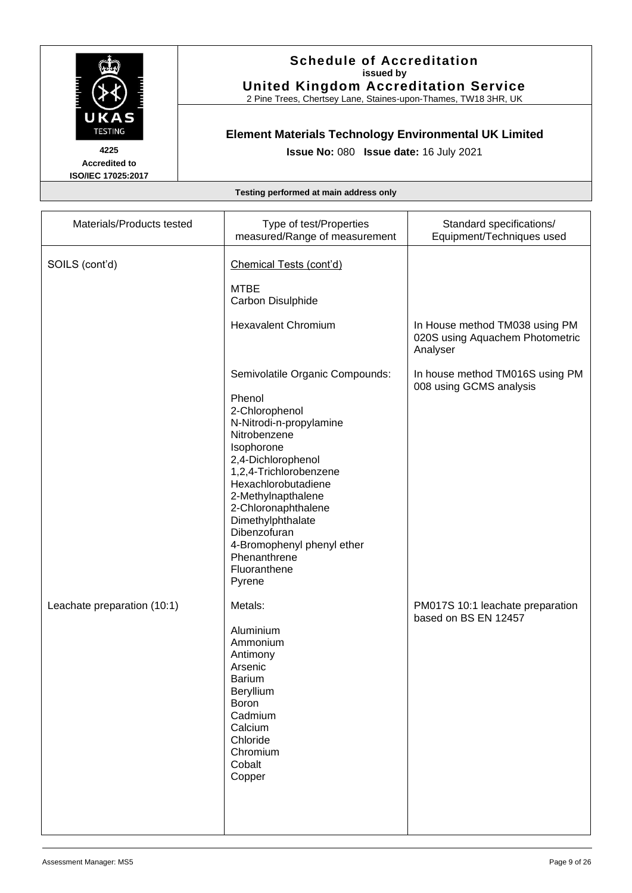

2 Pine Trees, Chertsey Lane, Staines-upon-Thames, TW18 3HR, UK

# **Element Materials Technology Environmental UK Limited**

**Issue No:** 080 **Issue date:** 16 July 2021

**Accredited to ISO/IEC 17025:2017**

| Materials/Products tested   | Type of test/Properties                                                                                                                                                                                                                                                                                                                               | Standard specifications/                                                      |
|-----------------------------|-------------------------------------------------------------------------------------------------------------------------------------------------------------------------------------------------------------------------------------------------------------------------------------------------------------------------------------------------------|-------------------------------------------------------------------------------|
|                             | measured/Range of measurement                                                                                                                                                                                                                                                                                                                         | Equipment/Techniques used                                                     |
| SOILS (cont'd)              | Chemical Tests (cont'd)<br><b>MTBE</b><br>Carbon Disulphide                                                                                                                                                                                                                                                                                           |                                                                               |
|                             | <b>Hexavalent Chromium</b>                                                                                                                                                                                                                                                                                                                            | In House method TM038 using PM<br>020S using Aquachem Photometric<br>Analyser |
|                             | Semivolatile Organic Compounds:<br>Phenol<br>2-Chlorophenol<br>N-Nitrodi-n-propylamine<br>Nitrobenzene<br>Isophorone<br>2,4-Dichlorophenol<br>1,2,4-Trichlorobenzene<br>Hexachlorobutadiene<br>2-Methylnapthalene<br>2-Chloronaphthalene<br>Dimethylphthalate<br>Dibenzofuran<br>4-Bromophenyl phenyl ether<br>Phenanthrene<br>Fluoranthene<br>Pyrene | In house method TM016S using PM<br>008 using GCMS analysis                    |
| Leachate preparation (10:1) | Metals:<br>Aluminium<br>Ammonium<br>Antimony<br>Arsenic<br><b>Barium</b><br>Beryllium<br>Boron<br>Cadmium<br>Calcium<br>Chloride<br>Chromium<br>Cobalt<br>Copper                                                                                                                                                                                      | PM017S 10:1 leachate preparation<br>based on BS EN 12457                      |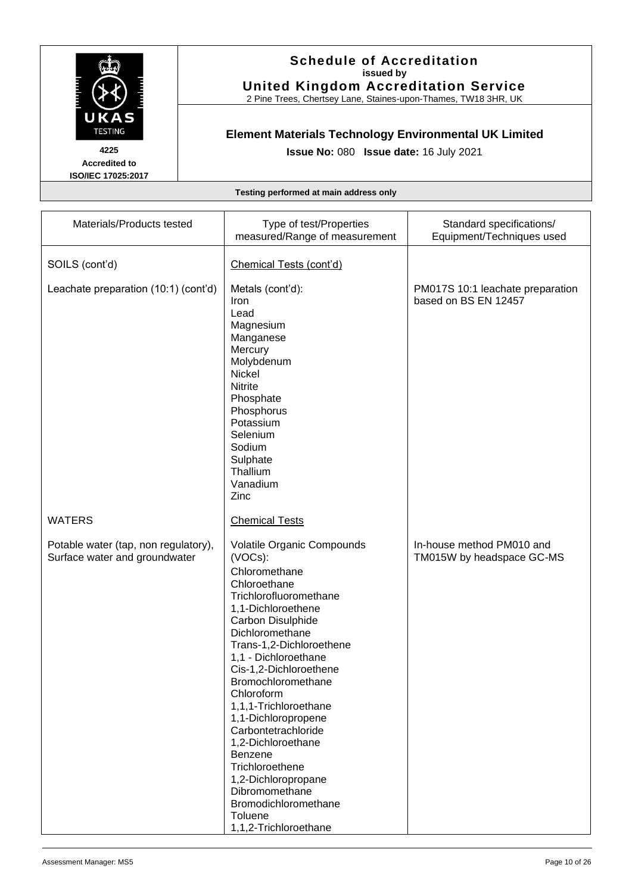

2 Pine Trees, Chertsey Lane, Staines-upon-Thames, TW18 3HR, UK

# **Element Materials Technology Environmental UK Limited**

**Issue No:** 080 **Issue date:** 16 July 2021

**Accredited to ISO/IEC 17025:2017**

| Materials/Products tested                                             | Type of test/Properties<br>measured/Range of measurement                                                                                                                                                                                                                                                                                                                                                                                                                                                                | Standard specifications/<br>Equipment/Techniques used    |
|-----------------------------------------------------------------------|-------------------------------------------------------------------------------------------------------------------------------------------------------------------------------------------------------------------------------------------------------------------------------------------------------------------------------------------------------------------------------------------------------------------------------------------------------------------------------------------------------------------------|----------------------------------------------------------|
| SOILS (cont'd)                                                        | Chemical Tests (cont'd)                                                                                                                                                                                                                                                                                                                                                                                                                                                                                                 |                                                          |
| Leachate preparation (10:1) (cont'd)                                  | Metals (cont'd):<br>Iron<br>Lead<br>Magnesium<br>Manganese<br>Mercury<br>Molybdenum<br>Nickel<br><b>Nitrite</b><br>Phosphate<br>Phosphorus<br>Potassium<br>Selenium<br>Sodium<br>Sulphate<br>Thallium<br>Vanadium<br>Zinc                                                                                                                                                                                                                                                                                               | PM017S 10:1 leachate preparation<br>based on BS EN 12457 |
| <b>WATERS</b>                                                         | <b>Chemical Tests</b>                                                                                                                                                                                                                                                                                                                                                                                                                                                                                                   |                                                          |
| Potable water (tap, non regulatory),<br>Surface water and groundwater | Volatile Organic Compounds<br>(VOCs):<br>Chloromethane<br>Chloroethane<br>Trichlorofluoromethane<br>1,1-Dichloroethene<br>Carbon Disulphide<br>Dichloromethane<br>Trans-1,2-Dichloroethene<br>1,1 - Dichloroethane<br>Cis-1,2-Dichloroethene<br><b>Bromochloromethane</b><br>Chloroform<br>1,1,1-Trichloroethane<br>1,1-Dichloropropene<br>Carbontetrachloride<br>1,2-Dichloroethane<br>Benzene<br>Trichloroethene<br>1,2-Dichloropropane<br>Dibromomethane<br>Bromodichloromethane<br>Toluene<br>1,1,2-Trichloroethane | In-house method PM010 and<br>TM015W by headspace GC-MS   |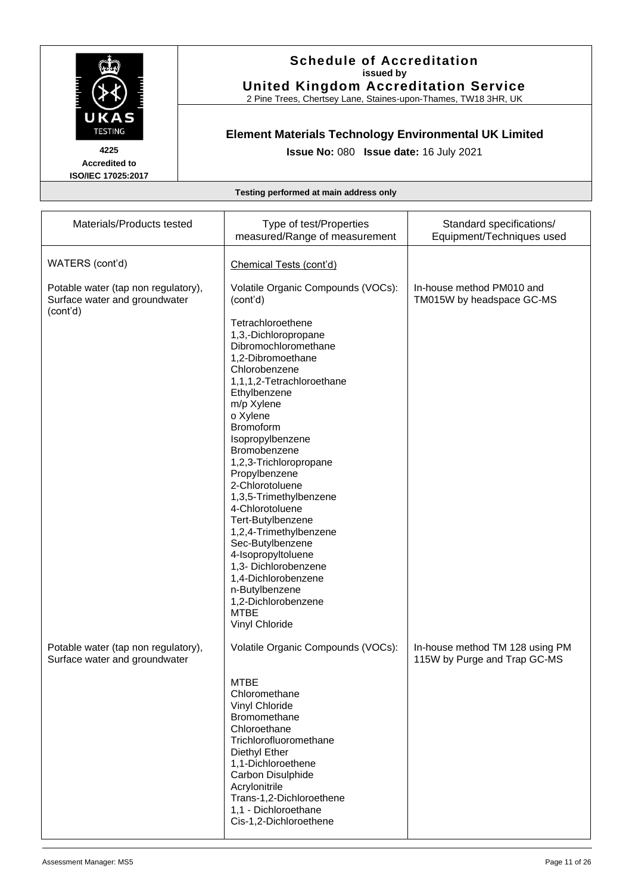

2 Pine Trees, Chertsey Lane, Staines-upon-Thames, TW18 3HR, UK

# **Element Materials Technology Environmental UK Limited**

**Issue No:** 080 **Issue date:** 16 July 2021

**Accredited to ISO/IEC 17025:2017**

| Materials/Products tested                                                        | Type of test/Properties<br>measured/Range of measurement | Standard specifications/<br>Equipment/Techniques used           |
|----------------------------------------------------------------------------------|----------------------------------------------------------|-----------------------------------------------------------------|
| WATERS (cont'd)                                                                  | Chemical Tests (cont'd)                                  |                                                                 |
| Potable water (tap non regulatory),<br>Surface water and groundwater<br>(cont'd) | Volatile Organic Compounds (VOCs):<br>(cont'd)           | In-house method PM010 and<br>TM015W by headspace GC-MS          |
|                                                                                  | Tetrachloroethene                                        |                                                                 |
|                                                                                  | 1,3,-Dichloropropane                                     |                                                                 |
|                                                                                  | Dibromochloromethane<br>1,2-Dibromoethane                |                                                                 |
|                                                                                  | Chlorobenzene                                            |                                                                 |
|                                                                                  | 1,1,1,2-Tetrachloroethane                                |                                                                 |
|                                                                                  | Ethylbenzene<br>m/p Xylene                               |                                                                 |
|                                                                                  | o Xylene                                                 |                                                                 |
|                                                                                  | <b>Bromoform</b>                                         |                                                                 |
|                                                                                  | Isopropylbenzene<br>Bromobenzene                         |                                                                 |
|                                                                                  | 1,2,3-Trichloropropane                                   |                                                                 |
|                                                                                  | Propylbenzene<br>2-Chlorotoluene                         |                                                                 |
|                                                                                  | 1,3,5-Trimethylbenzene                                   |                                                                 |
|                                                                                  | 4-Chlorotoluene                                          |                                                                 |
|                                                                                  | Tert-Butylbenzene<br>1,2,4-Trimethylbenzene              |                                                                 |
|                                                                                  | Sec-Butylbenzene                                         |                                                                 |
|                                                                                  | 4-Isopropyltoluene                                       |                                                                 |
|                                                                                  | 1,3- Dichlorobenzene<br>1,4-Dichlorobenzene              |                                                                 |
|                                                                                  | n-Butylbenzene                                           |                                                                 |
|                                                                                  | 1,2-Dichlorobenzene                                      |                                                                 |
|                                                                                  | <b>MTBE</b><br>Vinyl Chloride                            |                                                                 |
|                                                                                  |                                                          |                                                                 |
| Potable water (tap non regulatory),<br>Surface water and groundwater             | Volatile Organic Compounds (VOCs):                       | In-house method TM 128 using PM<br>115W by Purge and Trap GC-MS |
|                                                                                  | <b>MTRF</b>                                              |                                                                 |
|                                                                                  | Chloromethane                                            |                                                                 |
|                                                                                  | Vinyl Chloride                                           |                                                                 |
|                                                                                  | <b>Bromomethane</b><br>Chloroethane                      |                                                                 |
|                                                                                  | Trichlorofluoromethane                                   |                                                                 |
|                                                                                  | Diethyl Ether                                            |                                                                 |
|                                                                                  | 1,1-Dichloroethene<br>Carbon Disulphide                  |                                                                 |
|                                                                                  | Acrylonitrile                                            |                                                                 |
|                                                                                  | Trans-1,2-Dichloroethene                                 |                                                                 |
|                                                                                  | 1,1 - Dichloroethane<br>Cis-1,2-Dichloroethene           |                                                                 |
|                                                                                  |                                                          |                                                                 |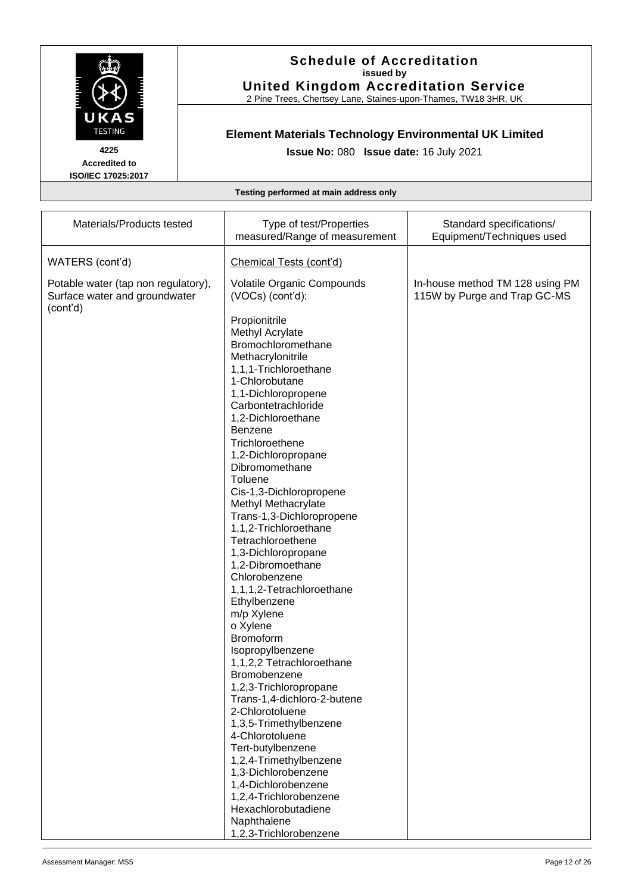

2 Pine Trees, Chertsey Lane, Staines-upon-Thames, TW18 3HR, UK

# **Element Materials Technology Environmental UK Limited**

**Issue No:** 080 **Issue date:** 16 July 2021

**Accredited to ISO/IEC 17025:2017**

| Materials/Products tested                                            | Type of test/Properties<br>measured/Range of measurement                                                                                                                                                                                                                                                                                                                                                                                                                                                                                                                                                                                                                                                                                                                                                                                                                                                                 | Standard specifications/<br>Equipment/Techniques used           |
|----------------------------------------------------------------------|--------------------------------------------------------------------------------------------------------------------------------------------------------------------------------------------------------------------------------------------------------------------------------------------------------------------------------------------------------------------------------------------------------------------------------------------------------------------------------------------------------------------------------------------------------------------------------------------------------------------------------------------------------------------------------------------------------------------------------------------------------------------------------------------------------------------------------------------------------------------------------------------------------------------------|-----------------------------------------------------------------|
| WATERS (cont'd)                                                      | Chemical Tests (cont'd)                                                                                                                                                                                                                                                                                                                                                                                                                                                                                                                                                                                                                                                                                                                                                                                                                                                                                                  |                                                                 |
| Potable water (tap non regulatory),<br>Surface water and groundwater | Volatile Organic Compounds<br>(VOCs) (cont'd):                                                                                                                                                                                                                                                                                                                                                                                                                                                                                                                                                                                                                                                                                                                                                                                                                                                                           | In-house method TM 128 using PM<br>115W by Purge and Trap GC-MS |
| (cont'd)                                                             | Propionitrile<br>Methyl Acrylate<br>Bromochloromethane<br>Methacrylonitrile<br>1,1,1-Trichloroethane<br>1-Chlorobutane<br>1,1-Dichloropropene<br>Carbontetrachloride<br>1,2-Dichloroethane<br>Benzene<br>Trichloroethene<br>1,2-Dichloropropane<br>Dibromomethane<br>Toluene<br>Cis-1,3-Dichloropropene<br>Methyl Methacrylate<br>Trans-1,3-Dichloropropene<br>1,1,2-Trichloroethane<br>Tetrachloroethene<br>1,3-Dichloropropane<br>1,2-Dibromoethane<br>Chlorobenzene<br>1,1,1,2-Tetrachloroethane<br>Ethylbenzene<br>m/p Xylene<br>o Xylene<br><b>Bromoform</b><br>Isopropylbenzene<br>1,1,2,2 Tetrachloroethane<br>Bromobenzene<br>1,2,3-Trichloropropane<br>Trans-1,4-dichloro-2-butene<br>2-Chlorotoluene<br>1,3,5-Trimethylbenzene<br>4-Chlorotoluene<br>Tert-butylbenzene<br>1,2,4-Trimethylbenzene<br>1,3-Dichlorobenzene<br>1,4-Dichlorobenzene<br>1,2,4-Trichlorobenzene<br>Hexachlorobutadiene<br>Naphthalene |                                                                 |
|                                                                      | 1,2,3-Trichlorobenzene                                                                                                                                                                                                                                                                                                                                                                                                                                                                                                                                                                                                                                                                                                                                                                                                                                                                                                   |                                                                 |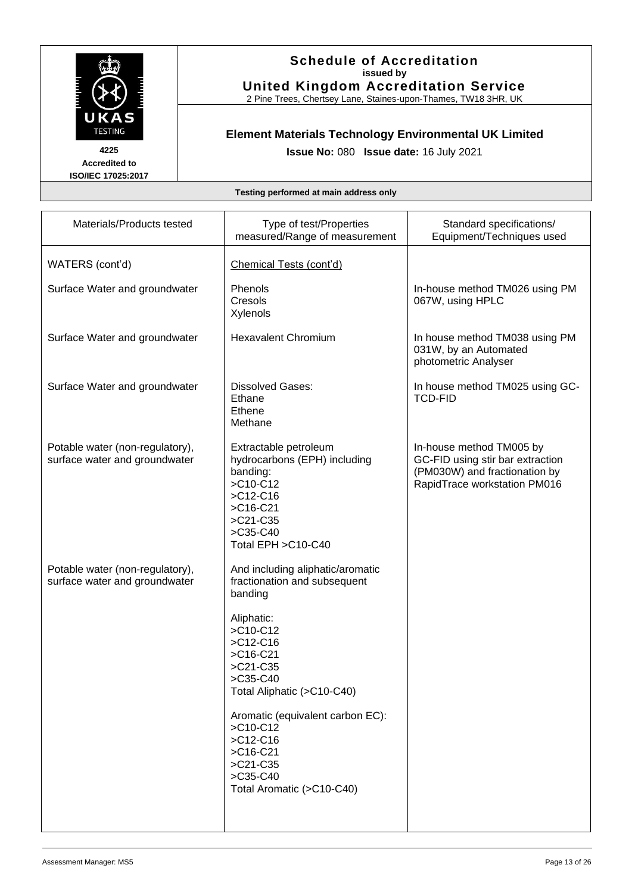

2 Pine Trees, Chertsey Lane, Staines-upon-Thames, TW18 3HR, UK

# **Element Materials Technology Environmental UK Limited**

**Issue No:** 080 **Issue date:** 16 July 2021

**Accredited to ISO/IEC 17025:2017**

| Materials/Products tested                                        | Type of test/Properties<br>measured/Range of measurement                                                                                                                                                                                                                                                                      | Standard specifications/<br>Equipment/Techniques used                                                                         |
|------------------------------------------------------------------|-------------------------------------------------------------------------------------------------------------------------------------------------------------------------------------------------------------------------------------------------------------------------------------------------------------------------------|-------------------------------------------------------------------------------------------------------------------------------|
| WATERS (cont'd)                                                  | Chemical Tests (cont'd)                                                                                                                                                                                                                                                                                                       |                                                                                                                               |
| Surface Water and groundwater                                    | Phenols<br>Cresols<br>Xylenols                                                                                                                                                                                                                                                                                                | In-house method TM026 using PM<br>067W, using HPLC                                                                            |
| Surface Water and groundwater                                    | <b>Hexavalent Chromium</b>                                                                                                                                                                                                                                                                                                    | In house method TM038 using PM<br>031W, by an Automated<br>photometric Analyser                                               |
| Surface Water and groundwater                                    | <b>Dissolved Gases:</b><br>Ethane<br>Ethene<br>Methane                                                                                                                                                                                                                                                                        | In house method TM025 using GC-<br><b>TCD-FID</b>                                                                             |
| Potable water (non-regulatory),<br>surface water and groundwater | Extractable petroleum<br>hydrocarbons (EPH) including<br>banding:<br>>C10-C12<br>$>C12-C16$<br>$>$ C16-C21<br>>C21-C35<br>$>$ C35-C40<br>Total EPH > C10-C40                                                                                                                                                                  | In-house method TM005 by<br>GC-FID using stir bar extraction<br>(PM030W) and fractionation by<br>RapidTrace workstation PM016 |
| Potable water (non-regulatory),<br>surface water and groundwater | And including aliphatic/aromatic<br>fractionation and subsequent<br>banding<br>Aliphatic:<br>>C10-C12<br>$>C12-C16$<br>$>$ C16-C21<br>>C21-C35<br>$>$ C35-C40<br>Total Aliphatic (>C10-C40)<br>Aromatic (equivalent carbon EC):<br>>C10-C12<br>$>C12-C16$<br>$>$ C16-C21<br>>C21-C35<br>>C35-C40<br>Total Aromatic (>C10-C40) |                                                                                                                               |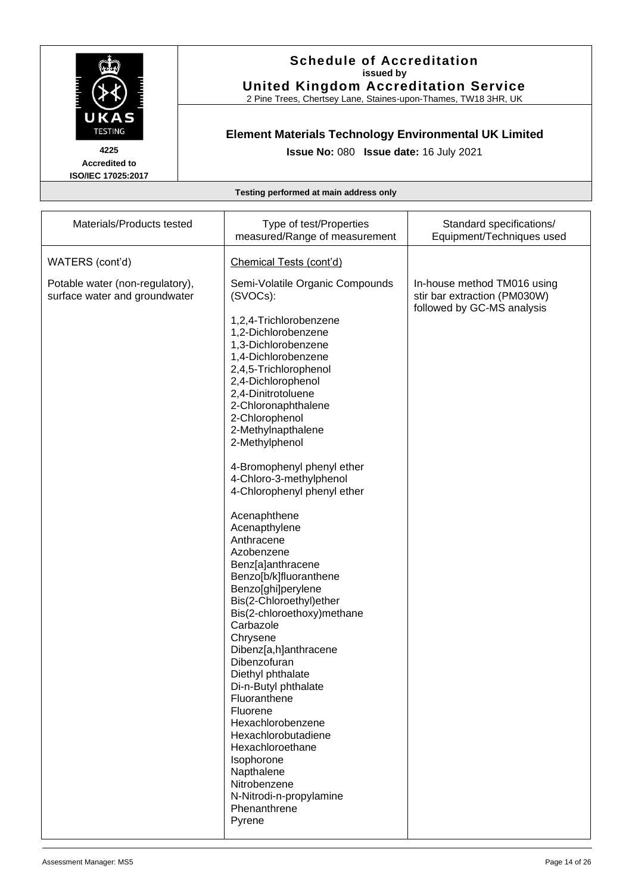

2 Pine Trees, Chertsey Lane, Staines-upon-Thames, TW18 3HR, UK

# **Element Materials Technology Environmental UK Limited**

**Issue No:** 080 **Issue date:** 16 July 2021

**Accredited to ISO/IEC 17025:2017**

| Materials/Products tested                                        | Type of test/Properties<br>measured/Range of measurement                                                                                                                                                                                                                                                                                                                                                                                                                                                                                                                                                                                                                                                                       | Standard specifications/<br>Equipment/Techniques used                                     |
|------------------------------------------------------------------|--------------------------------------------------------------------------------------------------------------------------------------------------------------------------------------------------------------------------------------------------------------------------------------------------------------------------------------------------------------------------------------------------------------------------------------------------------------------------------------------------------------------------------------------------------------------------------------------------------------------------------------------------------------------------------------------------------------------------------|-------------------------------------------------------------------------------------------|
| WATERS (cont'd)                                                  | Chemical Tests (cont'd)                                                                                                                                                                                                                                                                                                                                                                                                                                                                                                                                                                                                                                                                                                        |                                                                                           |
| Potable water (non-regulatory),<br>surface water and groundwater | Semi-Volatile Organic Compounds<br>(SVOCs):<br>1,2,4-Trichlorobenzene<br>1,2-Dichlorobenzene<br>1,3-Dichlorobenzene<br>1,4-Dichlorobenzene<br>2,4,5-Trichlorophenol<br>2,4-Dichlorophenol<br>2,4-Dinitrotoluene<br>2-Chloronaphthalene<br>2-Chlorophenol<br>2-Methylnapthalene<br>2-Methylphenol<br>4-Bromophenyl phenyl ether<br>4-Chloro-3-methylphenol<br>4-Chlorophenyl phenyl ether<br>Acenaphthene<br>Acenapthylene<br>Anthracene<br>Azobenzene<br>Benz[a]anthracene<br>Benzo[b/k]fluoranthene<br>Benzo[ghi]perylene<br>Bis(2-Chloroethyl)ether<br>Bis(2-chloroethoxy)methane<br>Carbazole<br>Chrysene<br>Dibenz[a,h]anthracene<br>Dibenzofuran<br>Diethyl phthalate<br>Di-n-Butyl phthalate<br>Fluoranthene<br>Fluorene | In-house method TM016 using<br>stir bar extraction (PM030W)<br>followed by GC-MS analysis |
|                                                                  | Hexachlorobenzene<br>Hexachlorobutadiene<br>Hexachloroethane<br>Isophorone<br>Napthalene<br>Nitrobenzene<br>N-Nitrodi-n-propylamine                                                                                                                                                                                                                                                                                                                                                                                                                                                                                                                                                                                            |                                                                                           |
|                                                                  | Phenanthrene<br>Pyrene                                                                                                                                                                                                                                                                                                                                                                                                                                                                                                                                                                                                                                                                                                         |                                                                                           |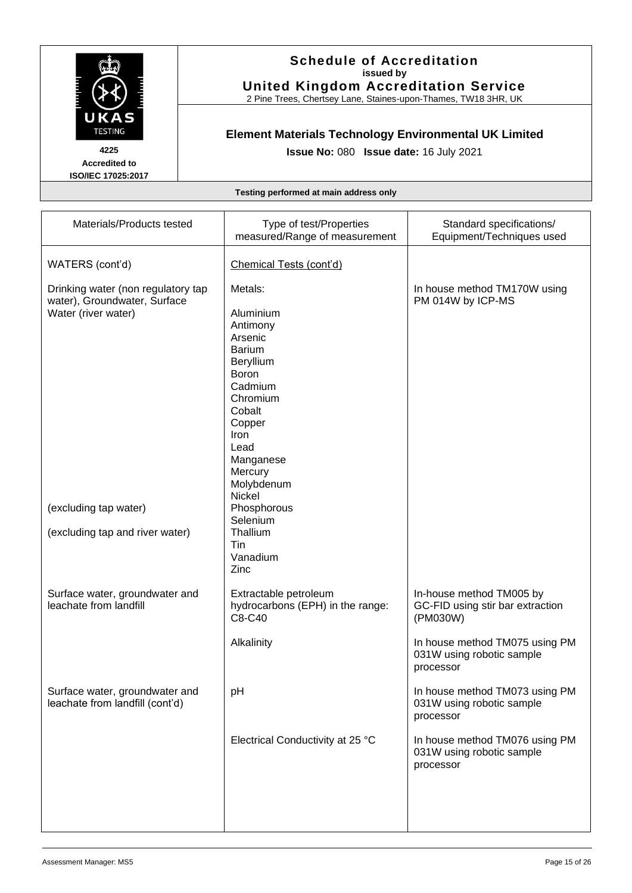

2 Pine Trees, Chertsey Lane, Staines-upon-Thames, TW18 3HR, UK

# **Element Materials Technology Environmental UK Limited**

**Issue No:** 080 **Issue date:** 16 July 2021

**Accredited to ISO/IEC 17025:2017**

| Materials/Products tested                                                                 | Type of test/Properties<br>measured/Range of measurement                                                                                                                                                    | Standard specifications/<br>Equipment/Techniques used                                                                                   |
|-------------------------------------------------------------------------------------------|-------------------------------------------------------------------------------------------------------------------------------------------------------------------------------------------------------------|-----------------------------------------------------------------------------------------------------------------------------------------|
| WATERS (cont'd)                                                                           | Chemical Tests (cont'd)                                                                                                                                                                                     |                                                                                                                                         |
| Drinking water (non regulatory tap<br>water), Groundwater, Surface<br>Water (river water) | Metals:<br>Aluminium<br>Antimony<br>Arsenic<br><b>Barium</b><br>Beryllium<br><b>Boron</b><br>Cadmium<br>Chromium<br>Cobalt<br>Copper<br>Iron<br>Lead<br>Manganese<br>Mercury<br>Molybdenum<br><b>Nickel</b> | In house method TM170W using<br>PM 014W by ICP-MS                                                                                       |
| (excluding tap water)<br>(excluding tap and river water)                                  | Phosphorous<br>Selenium<br>Thallium<br>Tin<br>Vanadium<br>Zinc                                                                                                                                              |                                                                                                                                         |
| Surface water, groundwater and<br>leachate from landfill                                  | Extractable petroleum<br>hydrocarbons (EPH) in the range:<br>C8-C40<br>Alkalinity                                                                                                                           | In-house method TM005 by<br>GC-FID using stir bar extraction<br>(PM030W)<br>In house method TM075 using PM<br>031W using robotic sample |
|                                                                                           |                                                                                                                                                                                                             | processor                                                                                                                               |
| Surface water, groundwater and<br>leachate from landfill (cont'd)                         | pH                                                                                                                                                                                                          | In house method TM073 using PM<br>031W using robotic sample<br>processor                                                                |
|                                                                                           | Electrical Conductivity at 25 °C                                                                                                                                                                            | In house method TM076 using PM<br>031W using robotic sample<br>processor                                                                |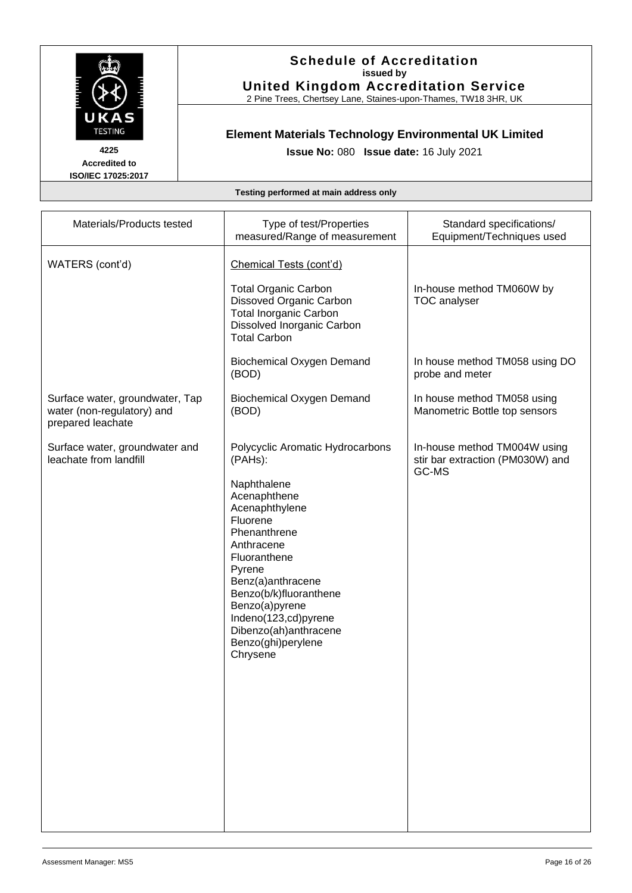

2 Pine Trees, Chertsey Lane, Staines-upon-Thames, TW18 3HR, UK

# **Element Materials Technology Environmental UK Limited**

**Issue No:** 080 **Issue date:** 16 July 2021

**Accredited to ISO/IEC 17025:2017**

| Materials/Products tested                                                          | Type of test/Properties<br>measured/Range of measurement                                                                                                                                                                                                                                                             | Standard specifications/<br>Equipment/Techniques used                     |
|------------------------------------------------------------------------------------|----------------------------------------------------------------------------------------------------------------------------------------------------------------------------------------------------------------------------------------------------------------------------------------------------------------------|---------------------------------------------------------------------------|
| WATERS (cont'd)                                                                    | Chemical Tests (cont'd)<br><b>Total Organic Carbon</b><br>Dissoved Organic Carbon<br><b>Total Inorganic Carbon</b><br>Dissolved Inorganic Carbon<br><b>Total Carbon</b>                                                                                                                                              | In-house method TM060W by<br><b>TOC</b> analyser                          |
|                                                                                    | <b>Biochemical Oxygen Demand</b><br>(BOD)                                                                                                                                                                                                                                                                            | In house method TM058 using DO<br>probe and meter                         |
| Surface water, groundwater, Tap<br>water (non-regulatory) and<br>prepared leachate | <b>Biochemical Oxygen Demand</b><br>(BOD)                                                                                                                                                                                                                                                                            | In house method TM058 using<br>Manometric Bottle top sensors              |
| Surface water, groundwater and<br>leachate from landfill                           | Polycyclic Aromatic Hydrocarbons<br>(PAHs):<br>Naphthalene<br>Acenaphthene<br>Acenaphthylene<br>Fluorene<br>Phenanthrene<br>Anthracene<br>Fluoranthene<br>Pyrene<br>Benz(a)anthracene<br>Benzo(b/k)fluoranthene<br>Benzo(a)pyrene<br>Indeno(123,cd)pyrene<br>Dibenzo(ah)anthracene<br>Benzo(ghi)perylene<br>Chrysene | In-house method TM004W using<br>stir bar extraction (PM030W) and<br>GC-MS |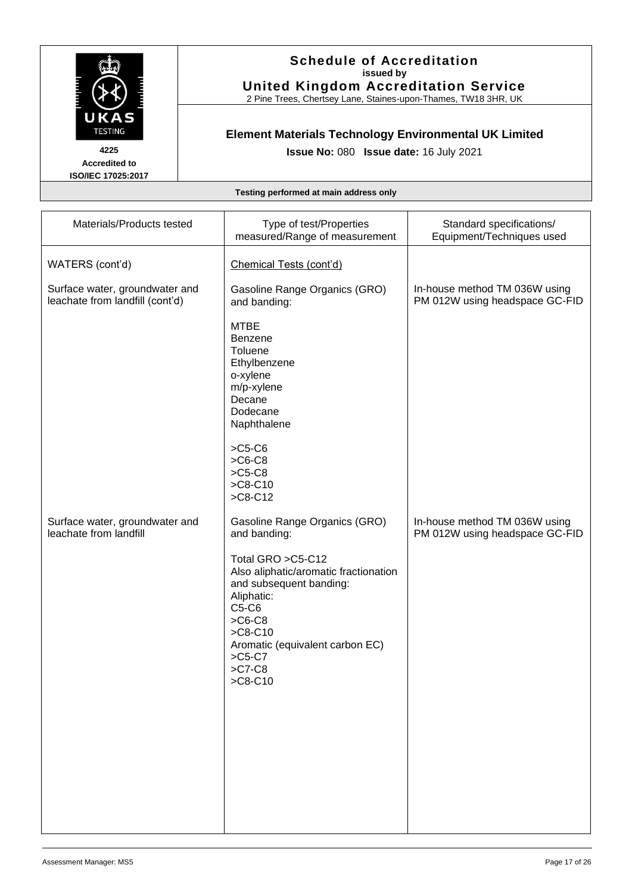

2 Pine Trees, Chertsey Lane, Staines-upon-Thames, TW18 3HR, UK

# **Element Materials Technology Environmental UK Limited**

**Issue No:** 080 **Issue date:** 16 July 2021

**Accredited to ISO/IEC 17025:2017**

| Materials/Products tested                                         | Type of test/Properties<br>measured/Range of measurement                                                                                                                                                       | Standard specifications/<br>Equipment/Techniques used           |
|-------------------------------------------------------------------|----------------------------------------------------------------------------------------------------------------------------------------------------------------------------------------------------------------|-----------------------------------------------------------------|
| WATERS (cont'd)                                                   | Chemical Tests (cont'd)                                                                                                                                                                                        |                                                                 |
| Surface water, groundwater and<br>leachate from landfill (cont'd) | Gasoline Range Organics (GRO)<br>and banding:                                                                                                                                                                  | In-house method TM 036W using<br>PM 012W using headspace GC-FID |
|                                                                   | <b>MTBE</b><br><b>Benzene</b><br>Toluene<br>Ethylbenzene<br>o-xylene<br>m/p-xylene<br>Decane<br>Dodecane<br>Naphthalene                                                                                        |                                                                 |
|                                                                   | $>C5-C6$<br>$>C6-C8$<br>$>C5-C8$<br>$>C8-C10$<br>$>C8-C12$                                                                                                                                                     |                                                                 |
| Surface water, groundwater and<br>leachate from landfill          | Gasoline Range Organics (GRO)<br>and banding:                                                                                                                                                                  | In-house method TM 036W using<br>PM 012W using headspace GC-FID |
|                                                                   | Total GRO >C5-C12<br>Also aliphatic/aromatic fractionation<br>and subsequent banding:<br>Aliphatic:<br>C5-C6<br>$>C6-C8$<br>$>C8-C10$<br>Aromatic (equivalent carbon EC)<br>$>C5-C7$<br>$>$ C7-C8<br>$>C8-C10$ |                                                                 |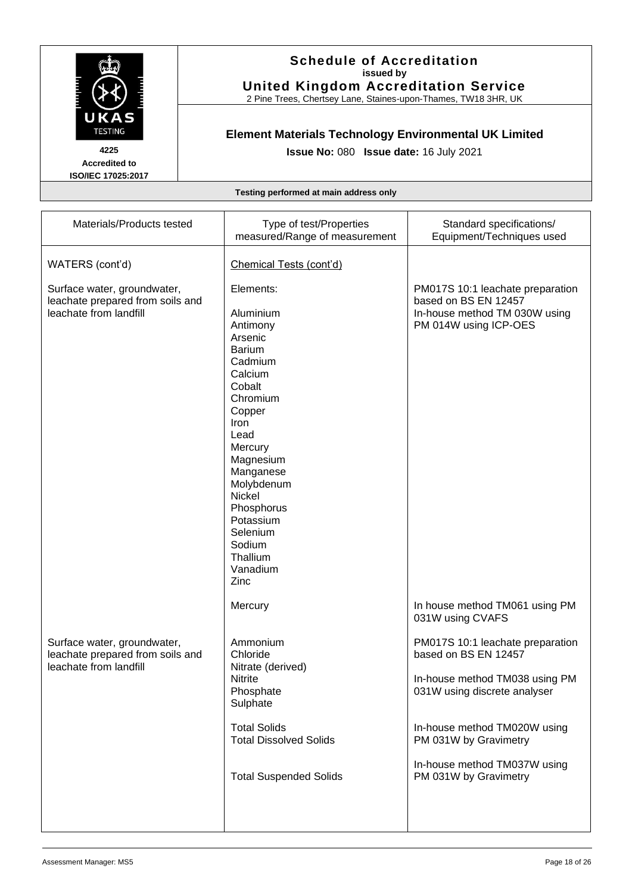

2 Pine Trees, Chertsey Lane, Staines-upon-Thames, TW18 3HR, UK

# **Element Materials Technology Environmental UK Limited**

**Issue No:** 080 **Issue date:** 16 July 2021

**Accredited to ISO/IEC 17025:2017**

| Materials/Products tested                                                                 | Type of test/Properties<br>measured/Range of measurement                                                                                                                                                                                                                           | Standard specifications/<br>Equipment/Techniques used                                                                      |
|-------------------------------------------------------------------------------------------|------------------------------------------------------------------------------------------------------------------------------------------------------------------------------------------------------------------------------------------------------------------------------------|----------------------------------------------------------------------------------------------------------------------------|
| WATERS (cont'd)                                                                           | Chemical Tests (cont'd)                                                                                                                                                                                                                                                            |                                                                                                                            |
| Surface water, groundwater,<br>leachate prepared from soils and<br>leachate from landfill | Elements:<br>Aluminium<br>Antimony<br>Arsenic<br><b>Barium</b><br>Cadmium<br>Calcium<br>Cobalt<br>Chromium<br>Copper<br>Iron<br>Lead<br>Mercury<br>Magnesium<br>Manganese<br>Molybdenum<br>Nickel<br>Phosphorus<br>Potassium<br>Selenium<br>Sodium<br>Thallium<br>Vanadium<br>Zinc | PM017S 10:1 leachate preparation<br>based on BS EN 12457<br>In-house method TM 030W using<br>PM 014W using ICP-OES         |
|                                                                                           | Mercury                                                                                                                                                                                                                                                                            | In house method TM061 using PM<br>031W using CVAFS                                                                         |
| Surface water, groundwater,<br>leachate prepared from soils and<br>leachate from landfill | Ammonium<br>Chloride<br>Nitrate (derived)<br>Nitrite<br>Phosphate<br>Sulphate                                                                                                                                                                                                      | PM017S 10:1 leachate preparation<br>based on BS EN 12457<br>In-house method TM038 using PM<br>031W using discrete analyser |
|                                                                                           | <b>Total Solids</b><br><b>Total Dissolved Solids</b><br><b>Total Suspended Solids</b>                                                                                                                                                                                              | In-house method TM020W using<br>PM 031W by Gravimetry<br>In-house method TM037W using<br>PM 031W by Gravimetry             |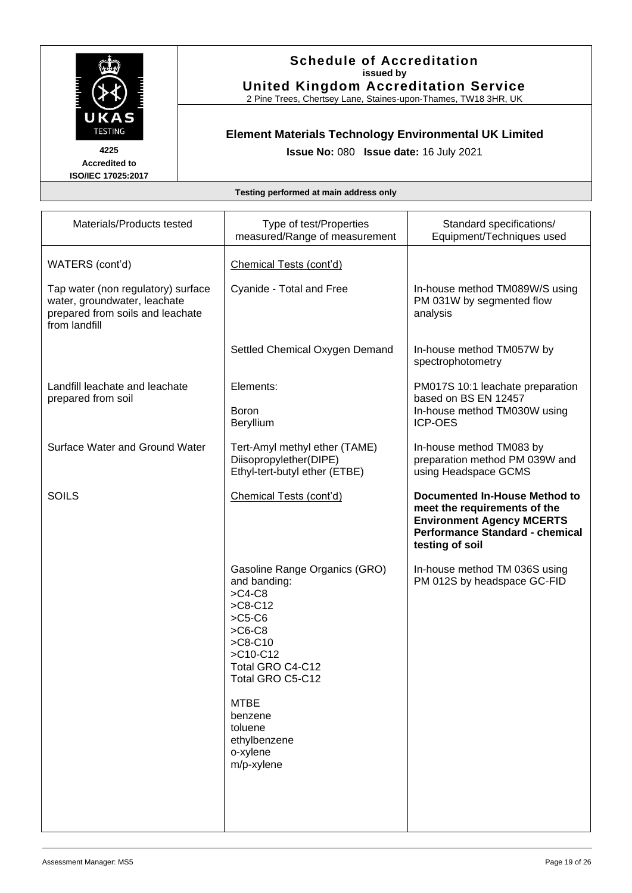

2 Pine Trees, Chertsey Lane, Staines-upon-Thames, TW18 3HR, UK

# **Element Materials Technology Environmental UK Limited**

**Issue No:** 080 **Issue date:** 16 July 2021

**Accredited to ISO/IEC 17025:2017**

| Materials/Products tested                                                                                               | Type of test/Properties<br>measured/Range of measurement                                                                                                                                                                                            | Standard specifications/<br>Equipment/Techniques used                                                                                                          |
|-------------------------------------------------------------------------------------------------------------------------|-----------------------------------------------------------------------------------------------------------------------------------------------------------------------------------------------------------------------------------------------------|----------------------------------------------------------------------------------------------------------------------------------------------------------------|
| WATERS (cont'd)                                                                                                         | Chemical Tests (cont'd)                                                                                                                                                                                                                             |                                                                                                                                                                |
| Tap water (non regulatory) surface<br>water, groundwater, leachate<br>prepared from soils and leachate<br>from landfill | Cyanide - Total and Free                                                                                                                                                                                                                            | In-house method TM089W/S using<br>PM 031W by segmented flow<br>analysis                                                                                        |
|                                                                                                                         | Settled Chemical Oxygen Demand                                                                                                                                                                                                                      | In-house method TM057W by<br>spectrophotometry                                                                                                                 |
| Landfill leachate and leachate<br>prepared from soil                                                                    | Elements:                                                                                                                                                                                                                                           | PM017S 10:1 leachate preparation<br>based on BS EN 12457                                                                                                       |
|                                                                                                                         | <b>Boron</b><br>Beryllium                                                                                                                                                                                                                           | In-house method TM030W using<br><b>ICP-OES</b>                                                                                                                 |
| Surface Water and Ground Water                                                                                          | Tert-Amyl methyl ether (TAME)<br>Diisopropylether(DIPE)<br>Ethyl-tert-butyl ether (ETBE)                                                                                                                                                            | In-house method TM083 by<br>preparation method PM 039W and<br>using Headspace GCMS                                                                             |
| <b>SOILS</b>                                                                                                            | Chemical Tests (cont'd)                                                                                                                                                                                                                             | <b>Documented In-House Method to</b><br>meet the requirements of the<br><b>Environment Agency MCERTS</b><br>Performance Standard - chemical<br>testing of soil |
|                                                                                                                         | Gasoline Range Organics (GRO)<br>and banding:<br>$>$ C4-C8<br>$>C8-C12$<br>$>C5-C6$<br>$>$ C6-C8<br>$>C8-C10$<br>$>$ C10-C12<br>Total GRO C4-C12<br>Total GRO C5-C12<br><b>MTBE</b><br>benzene<br>toluene<br>ethylbenzene<br>o-xylene<br>m/p-xylene | In-house method TM 036S using<br>PM 012S by headspace GC-FID                                                                                                   |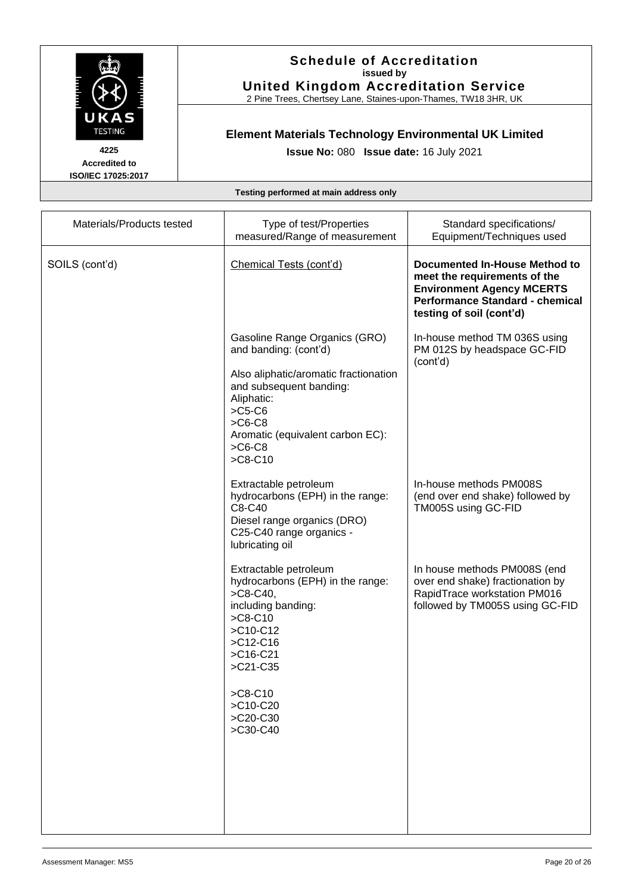

2 Pine Trees, Chertsey Lane, Staines-upon-Thames, TW18 3HR, UK

# **Element Materials Technology Environmental UK Limited**

**Issue No:** 080 **Issue date:** 16 July 2021

**Accredited to ISO/IEC 17025:2017**

| Materials/Products tested | Type of test/Properties<br>measured/Range of measurement                                                                                                            | Standard specifications/<br>Equipment/Techniques used                                                                                                                   |
|---------------------------|---------------------------------------------------------------------------------------------------------------------------------------------------------------------|-------------------------------------------------------------------------------------------------------------------------------------------------------------------------|
| SOILS (cont'd)            | Chemical Tests (cont'd)                                                                                                                                             | Documented In-House Method to<br>meet the requirements of the<br><b>Environment Agency MCERTS</b><br><b>Performance Standard - chemical</b><br>testing of soil (cont'd) |
|                           | Gasoline Range Organics (GRO)<br>and banding: (cont'd)<br>Also aliphatic/aromatic fractionation<br>and subsequent banding:<br>Aliphatic:<br>$>C5-C6$                | In-house method TM 036S using<br>PM 012S by headspace GC-FID<br>(cont'd)                                                                                                |
|                           | $>$ C6-C8<br>Aromatic (equivalent carbon EC):<br>$>$ C6-C8<br>$>C8-C10$                                                                                             |                                                                                                                                                                         |
|                           | Extractable petroleum<br>hydrocarbons (EPH) in the range:<br>C8-C40<br>Diesel range organics (DRO)<br>C25-C40 range organics -<br>lubricating oil                   | In-house methods PM008S<br>(end over end shake) followed by<br>TM005S using GC-FID                                                                                      |
|                           | Extractable petroleum<br>hydrocarbons (EPH) in the range:<br>$>$ C8-C40,<br>including banding:<br>$>C8-C10$<br>$>$ C10-C12<br>$>C12-C16$<br>$>$ C16-C21<br>>C21-C35 | In house methods PM008S (end<br>over end shake) fractionation by<br>RapidTrace workstation PM016<br>followed by TM005S using GC-FID                                     |
|                           | $>C8-C10$<br>>C10-C20<br>>C20-C30<br>>C30-C40                                                                                                                       |                                                                                                                                                                         |
|                           |                                                                                                                                                                     |                                                                                                                                                                         |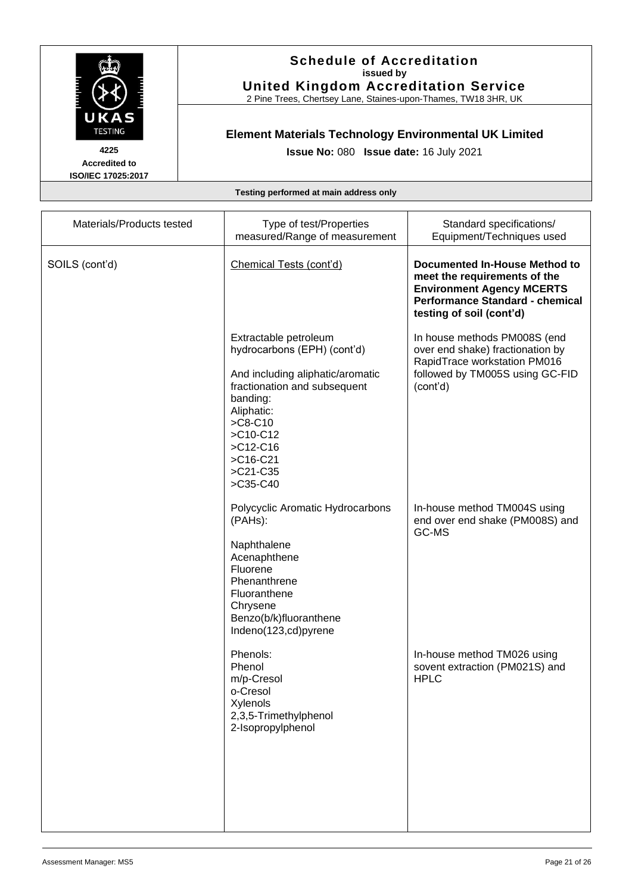

2 Pine Trees, Chertsey Lane, Staines-upon-Thames, TW18 3HR, UK

# **Element Materials Technology Environmental UK Limited**

**Issue No:** 080 **Issue date:** 16 July 2021

**Accredited to ISO/IEC 17025:2017**

| Materials/Products tested | Type of test/Properties<br>measured/Range of measurement                                                                                                                                                                             | Standard specifications/<br>Equipment/Techniques used                                                                                                                          |
|---------------------------|--------------------------------------------------------------------------------------------------------------------------------------------------------------------------------------------------------------------------------------|--------------------------------------------------------------------------------------------------------------------------------------------------------------------------------|
| SOILS (cont'd)            | Chemical Tests (cont'd)                                                                                                                                                                                                              | <b>Documented In-House Method to</b><br>meet the requirements of the<br><b>Environment Agency MCERTS</b><br><b>Performance Standard - chemical</b><br>testing of soil (cont'd) |
|                           | Extractable petroleum<br>hydrocarbons (EPH) (cont'd)<br>And including aliphatic/aromatic<br>fractionation and subsequent<br>banding:<br>Aliphatic:<br>$>C8-C10$<br>$>$ C10-C12<br>$>$ C12-C16<br>$>$ C16-C21<br>>C21-C35<br>>C35-C40 | In house methods PM008S (end<br>over end shake) fractionation by<br>RapidTrace workstation PM016<br>followed by TM005S using GC-FID<br>(cont'd)                                |
|                           | Polycyclic Aromatic Hydrocarbons<br>(PAHs):<br>Naphthalene<br>Acenaphthene<br>Fluorene<br>Phenanthrene<br>Fluoranthene<br>Chrysene<br>Benzo(b/k)fluoranthene<br>Indeno(123,cd)pyrene                                                 | In-house method TM004S using<br>end over end shake (PM008S) and<br>GC-MS                                                                                                       |
|                           | Phenols:<br>Phenol<br>m/p-Cresol<br>o-Cresol<br>Xylenols<br>2,3,5-Trimethylphenol<br>2-Isopropylphenol                                                                                                                               | In-house method TM026 using<br>sovent extraction (PM021S) and<br><b>HPLC</b>                                                                                                   |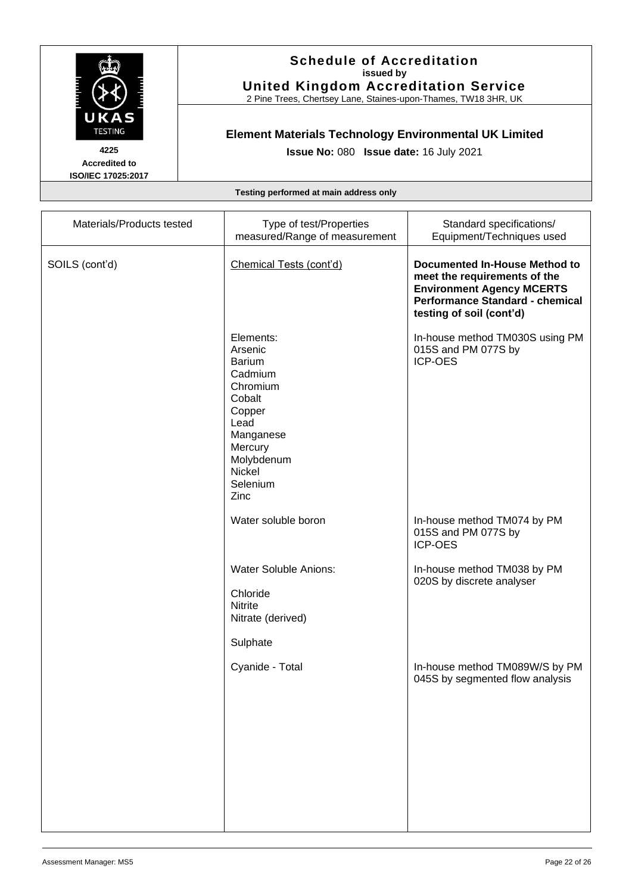

2 Pine Trees, Chertsey Lane, Staines-upon-Thames, TW18 3HR, UK

# **Element Materials Technology Environmental UK Limited**

**Issue No:** 080 **Issue date:** 16 July 2021

**Accredited to ISO/IEC 17025:2017**

| Type of test/Properties<br>measured/Range of measurement                                                                                                     | Standard specifications/<br>Equipment/Techniques used                                                                                                                   |
|--------------------------------------------------------------------------------------------------------------------------------------------------------------|-------------------------------------------------------------------------------------------------------------------------------------------------------------------------|
| Chemical Tests (cont'd)                                                                                                                                      | <b>Documented In-House Method to</b><br>meet the requirements of the<br><b>Environment Agency MCERTS</b><br>Performance Standard - chemical<br>testing of soil (cont'd) |
| Elements:<br>Arsenic<br><b>Barium</b><br>Cadmium<br>Chromium<br>Cobalt<br>Copper<br>Lead<br>Manganese<br>Mercury<br>Molybdenum<br>Nickel<br>Selenium<br>Zinc | In-house method TM030S using PM<br>015S and PM 077S by<br><b>ICP-OES</b>                                                                                                |
| Water soluble boron                                                                                                                                          | In-house method TM074 by PM<br>015S and PM 077S by<br><b>ICP-OES</b>                                                                                                    |
| <b>Water Soluble Anions:</b><br>Chloride<br><b>Nitrite</b><br>Nitrate (derived)<br>Sulphate                                                                  | In-house method TM038 by PM<br>020S by discrete analyser                                                                                                                |
| Cyanide - Total                                                                                                                                              | In-house method TM089W/S by PM<br>045S by segmented flow analysis                                                                                                       |
|                                                                                                                                                              |                                                                                                                                                                         |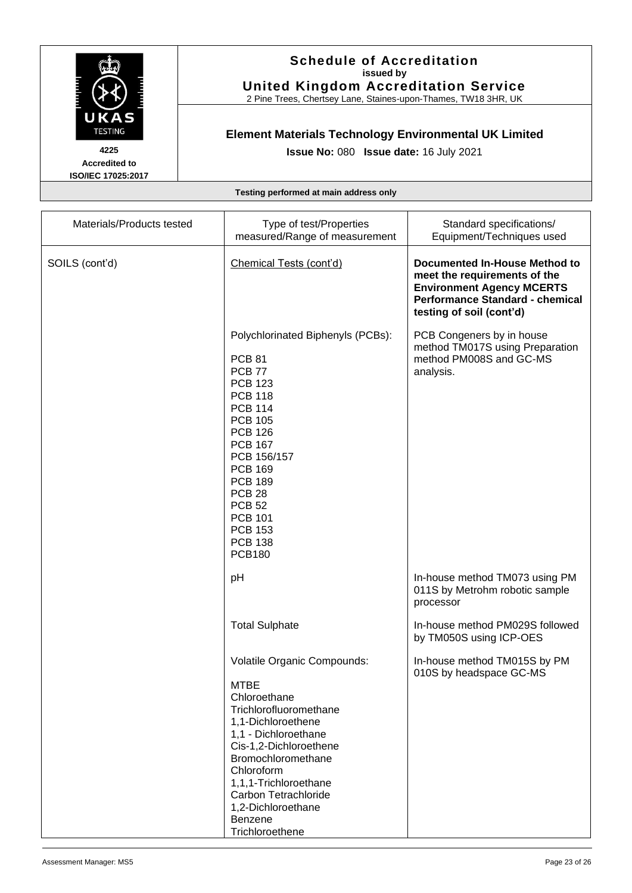

2 Pine Trees, Chertsey Lane, Staines-upon-Thames, TW18 3HR, UK

# **Element Materials Technology Environmental UK Limited**

**Issue No:** 080 **Issue date:** 16 July 2021

**Accredited to ISO/IEC 17025:2017**

| Materials/Products tested | Type of test/Properties<br>measured/Range of measurement                                                                                                                                                                                                                                                                                    | Standard specifications/<br>Equipment/Techniques used                                                                                                                          |
|---------------------------|---------------------------------------------------------------------------------------------------------------------------------------------------------------------------------------------------------------------------------------------------------------------------------------------------------------------------------------------|--------------------------------------------------------------------------------------------------------------------------------------------------------------------------------|
| SOILS (cont'd)            | Chemical Tests (cont'd)                                                                                                                                                                                                                                                                                                                     | <b>Documented In-House Method to</b><br>meet the requirements of the<br><b>Environment Agency MCERTS</b><br><b>Performance Standard - chemical</b><br>testing of soil (cont'd) |
|                           | Polychlorinated Biphenyls (PCBs):<br><b>PCB 81</b><br><b>PCB 77</b><br><b>PCB 123</b><br><b>PCB 118</b><br><b>PCB 114</b><br><b>PCB 105</b><br><b>PCB 126</b><br><b>PCB 167</b><br>PCB 156/157<br><b>PCB 169</b><br><b>PCB 189</b><br><b>PCB 28</b><br><b>PCB 52</b><br><b>PCB 101</b><br><b>PCB 153</b><br><b>PCB 138</b><br><b>PCB180</b> | PCB Congeners by in house<br>method TM017S using Preparation<br>method PM008S and GC-MS<br>analysis.                                                                           |
|                           | pH                                                                                                                                                                                                                                                                                                                                          | In-house method TM073 using PM<br>011S by Metrohm robotic sample<br>processor                                                                                                  |
|                           | <b>Total Sulphate</b>                                                                                                                                                                                                                                                                                                                       | In-house method PM029S followed<br>by TM050S using ICP-OES                                                                                                                     |
|                           | Volatile Organic Compounds:<br><b>MTBE</b><br>Chloroethane<br>Trichlorofluoromethane<br>1,1-Dichloroethene<br>1,1 - Dichloroethane<br>Cis-1,2-Dichloroethene<br>Bromochloromethane<br>Chloroform<br>1,1,1-Trichloroethane<br>Carbon Tetrachloride<br>1,2-Dichloroethane<br><b>Benzene</b><br>Trichloroethene                                | In-house method TM015S by PM<br>010S by headspace GC-MS                                                                                                                        |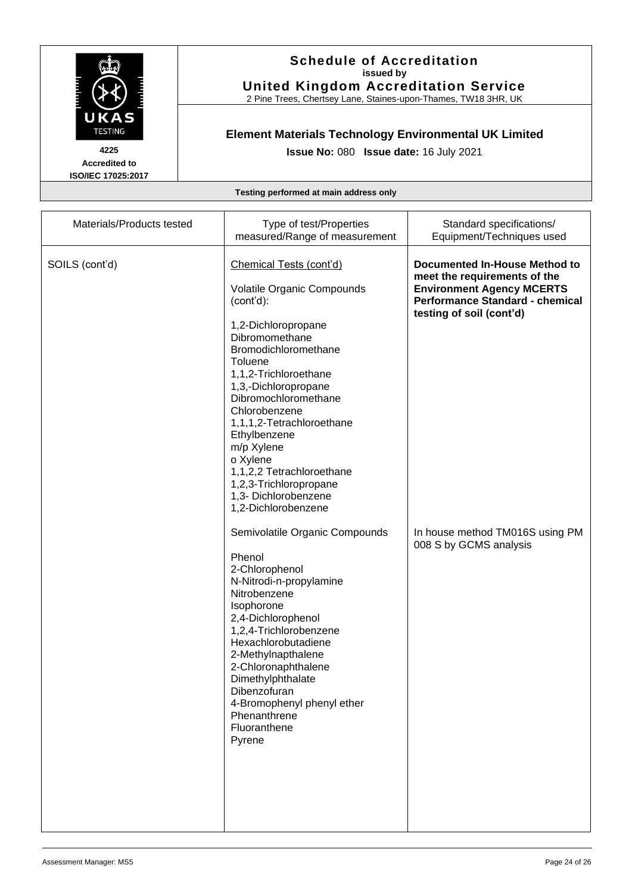

2 Pine Trees, Chertsey Lane, Staines-upon-Thames, TW18 3HR, UK

# **Element Materials Technology Environmental UK Limited**

**Issue No:** 080 **Issue date:** 16 July 2021

**Accredited to ISO/IEC 17025:2017**

| Materials/Products tested | Type of test/Properties                                                                                                                                                                                                                                                                                                                              | Standard specifications/                                                                                                                                                       |
|---------------------------|------------------------------------------------------------------------------------------------------------------------------------------------------------------------------------------------------------------------------------------------------------------------------------------------------------------------------------------------------|--------------------------------------------------------------------------------------------------------------------------------------------------------------------------------|
|                           | measured/Range of measurement                                                                                                                                                                                                                                                                                                                        | Equipment/Techniques used                                                                                                                                                      |
| SOILS (cont'd)            | Chemical Tests (cont'd)<br>Volatile Organic Compounds<br>(cont'd):                                                                                                                                                                                                                                                                                   | <b>Documented In-House Method to</b><br>meet the requirements of the<br><b>Environment Agency MCERTS</b><br><b>Performance Standard - chemical</b><br>testing of soil (cont'd) |
|                           | 1,2-Dichloropropane<br>Dibromomethane<br>Bromodichloromethane<br>Toluene<br>1,1,2-Trichloroethane<br>1,3,-Dichloropropane<br>Dibromochloromethane<br>Chlorobenzene<br>1,1,1,2-Tetrachloroethane<br>Ethylbenzene<br>m/p Xylene<br>o Xylene<br>1,1,2,2 Tetrachloroethane<br>1,2,3-Trichloropropane<br>1,3- Dichlorobenzene<br>1,2-Dichlorobenzene      |                                                                                                                                                                                |
|                           | Semivolatile Organic Compounds<br>Phenol<br>2-Chlorophenol<br>N-Nitrodi-n-propylamine<br>Nitrobenzene<br>Isophorone<br>2,4-Dichlorophenol<br>1,2,4-Trichlorobenzene<br>Hexachlorobutadiene<br>2-Methylnapthalene<br>2-Chloronaphthalene<br>Dimethylphthalate<br>Dibenzofuran<br>4-Bromophenyl phenyl ether<br>Phenanthrene<br>Fluoranthene<br>Pyrene | In house method TM016S using PM<br>008 S by GCMS analysis                                                                                                                      |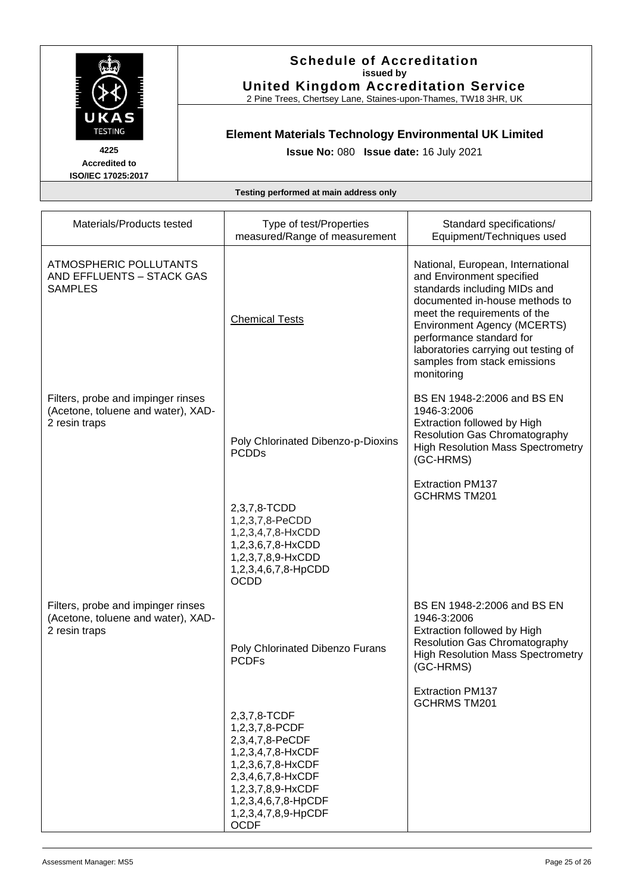

2 Pine Trees, Chertsey Lane, Staines-upon-Thames, TW18 3HR, UK

# **Element Materials Technology Environmental UK Limited**

**Issue No:** 080 **Issue date:** 16 July 2021

**Accredited to ISO/IEC 17025:2017**

| Materials/Products tested                                                                 | Type of test/Properties                                                                                                                                                                            | Standard specifications/                                                                                                                                                                                                                                                                                                 |
|-------------------------------------------------------------------------------------------|----------------------------------------------------------------------------------------------------------------------------------------------------------------------------------------------------|--------------------------------------------------------------------------------------------------------------------------------------------------------------------------------------------------------------------------------------------------------------------------------------------------------------------------|
|                                                                                           | measured/Range of measurement                                                                                                                                                                      | Equipment/Techniques used                                                                                                                                                                                                                                                                                                |
| ATMOSPHERIC POLLUTANTS<br>AND EFFLUENTS - STACK GAS<br><b>SAMPLES</b>                     | <b>Chemical Tests</b>                                                                                                                                                                              | National, European, International<br>and Environment specified<br>standards including MIDs and<br>documented in-house methods to<br>meet the requirements of the<br><b>Environment Agency (MCERTS)</b><br>performance standard for<br>laboratories carrying out testing of<br>samples from stack emissions<br>monitoring |
| Filters, probe and impinger rinses<br>(Acetone, toluene and water), XAD-<br>2 resin traps | Poly Chlorinated Dibenzo-p-Dioxins<br><b>PCDDs</b>                                                                                                                                                 | BS EN 1948-2:2006 and BS EN<br>1946-3:2006<br>Extraction followed by High<br><b>Resolution Gas Chromatography</b><br><b>High Resolution Mass Spectrometry</b><br>(GC-HRMS)                                                                                                                                               |
|                                                                                           | 2,3,7,8-TCDD<br>1,2,3,7,8-PeCDD<br>1,2,3,4,7,8-HxCDD<br>1,2,3,6,7,8-HxCDD<br>1,2,3,7,8,9-HxCDD<br>1,2,3,4,6,7,8-HpCDD<br><b>OCDD</b>                                                               | <b>Extraction PM137</b><br><b>GCHRMS TM201</b>                                                                                                                                                                                                                                                                           |
| Filters, probe and impinger rinses<br>(Acetone, toluene and water), XAD-<br>2 resin traps | Poly Chlorinated Dibenzo Furans<br><b>PCDFs</b>                                                                                                                                                    | BS EN 1948-2:2006 and BS EN<br>1946-3:2006<br>Extraction followed by High<br><b>Resolution Gas Chromatography</b><br><b>High Resolution Mass Spectrometry</b><br>(GC-HRMS)                                                                                                                                               |
|                                                                                           | 2,3,7,8-TCDF<br>1,2,3,7,8-PCDF<br>2,3,4,7,8-PeCDF<br>1,2,3,4,7,8-HxCDF<br>1,2,3,6,7,8-HxCDF<br>2,3,4,6,7,8-HxCDF<br>1,2,3,7,8,9-HxCDF<br>1,2,3,4,6,7,8-HpCDF<br>1,2,3,4,7,8,9-HpCDF<br><b>OCDF</b> | <b>Extraction PM137</b><br><b>GCHRMS TM201</b>                                                                                                                                                                                                                                                                           |